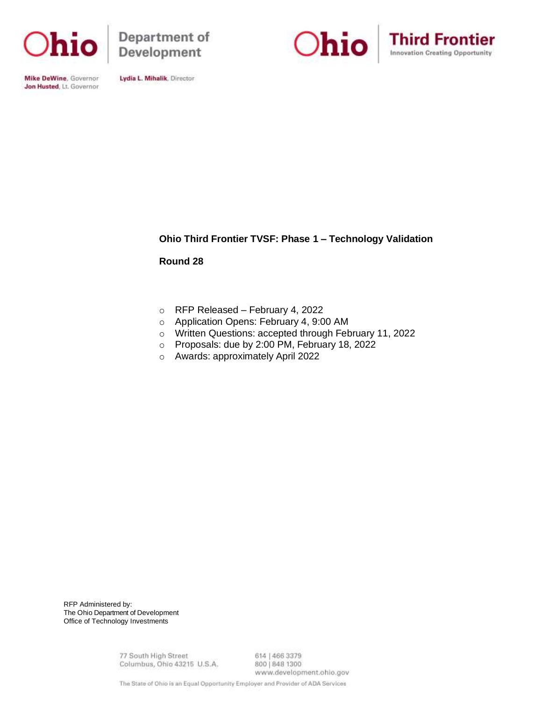

Department of Development





Mike DeWine, Governor Jon Husted, Lt. Governor

Lydia L. Mihalik, Director

# **Ohio Third Frontier TVSF: Phase 1 – Technology Validation**

**Round 28**

- o RFP Released February 4, 2022
- o Application Opens: February 4, 9:00 AM
- o Written Questions: accepted through February 11, 2022
- o Proposals: due by 2:00 PM, February 18, 2022
- o Awards: approximately April 2022

RFP Administered by: The Ohio Department of Development Office of Technology Investments

> 77 South High Street Columbus, Ohio 43215 U.S.A.

614 | 466 3379 800 | 848 1300 www.development.ohio.gov

The State of Ohio is an Equal Opportunity Employer and Provider of ADA Services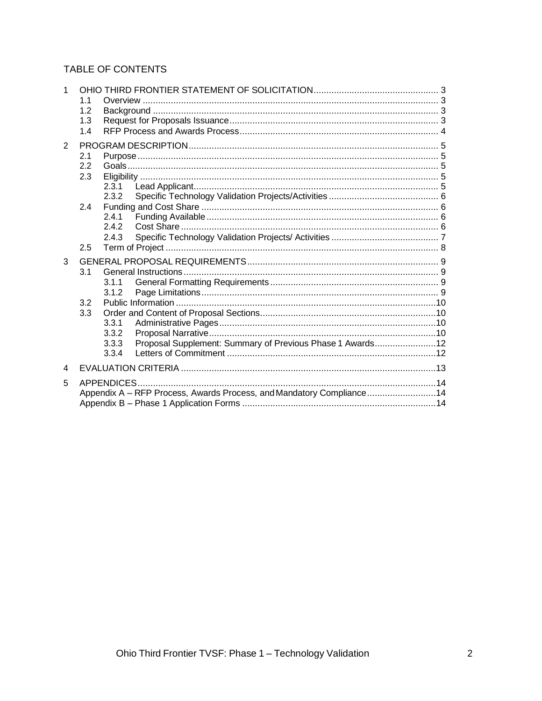# TABLE OF CONTENTS

| 1              |                |                                                                      |  |
|----------------|----------------|----------------------------------------------------------------------|--|
|                | 1 <sub>1</sub> |                                                                      |  |
|                | 1.2            |                                                                      |  |
|                | 1.3            |                                                                      |  |
|                | 1.4            |                                                                      |  |
| $\overline{2}$ |                |                                                                      |  |
|                | 2.1            |                                                                      |  |
|                | 2.2            |                                                                      |  |
|                | 2.3            |                                                                      |  |
|                |                | 2.3.1                                                                |  |
|                |                | 2.3.2                                                                |  |
|                | 2.4            |                                                                      |  |
|                |                | 2.4.1                                                                |  |
|                |                | 2.4.2                                                                |  |
|                |                | 2.4.3                                                                |  |
|                | 2.5            |                                                                      |  |
| 3              |                |                                                                      |  |
|                | 3.1            |                                                                      |  |
|                |                | 3.1.1                                                                |  |
|                |                | 3.1.2                                                                |  |
|                | 3.2            |                                                                      |  |
|                | 3.3            |                                                                      |  |
|                |                | 3.3.1                                                                |  |
|                |                | 3.3.2                                                                |  |
|                |                | Proposal Supplement: Summary of Previous Phase 1 Awards12<br>3.3.3   |  |
|                |                | 3.3.4                                                                |  |
| 4              |                |                                                                      |  |
| 5              |                |                                                                      |  |
|                |                | Appendix A - RFP Process, Awards Process, and Mandatory Compliance14 |  |
|                |                |                                                                      |  |
|                |                |                                                                      |  |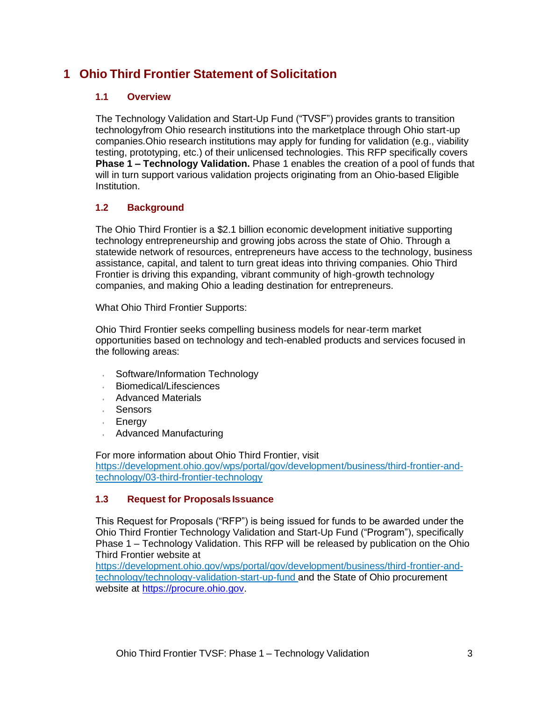# **1 Ohio Third Frontier Statement of Solicitation**

### **1.1 Overview**

The Technology Validation and Start-Up Fund ("TVSF") provides grants to transition technologyfrom Ohio research institutions into the marketplace through Ohio start-up companies.Ohio research institutions may apply for funding for validation (e.g., viability testing, prototyping, etc.) of their unlicensed technologies. This RFP specifically covers **Phase 1 – Technology Validation.** Phase 1 enables the creation of a pool of funds that will in turn support various validation projects originating from an Ohio-based Eligible Institution.

## **1.2 Background**

The Ohio Third Frontier is a \$2.1 billion economic development initiative supporting technology entrepreneurship and growing jobs across the state of Ohio. Through a statewide network of resources, entrepreneurs have access to the technology, business assistance, capital, and talent to turn great ideas into thriving companies. Ohio Third Frontier is driving this expanding, vibrant community of high-growth technology companies, and making Ohio a leading destination for entrepreneurs.

What Ohio Third Frontier Supports:

Ohio Third Frontier seeks compelling business models for near-term market opportunities based on technology and tech-enabled products and services focused in the following areas:

- Software/Information Technology  $\mathbf{r}$
- Biomedical/Lifesciences J.
- Advanced Materials
- Sensors
- Energy
- Advanced Manufacturing

For more information about Ohio Third Frontier, visit https://development.ohio.gov/wps/portal/gov/development/business/third-frontier-andtechnology/03-third-frontier-technology

### **1.3 Request for Proposals Issuance**

This Request for Proposals ("RFP") is being issued for funds to be awarded under the Ohio Third Frontier Technology Validation and Start-Up Fund ("Program"), specifically Phase 1 – Technology Validation. This RFP will be released by publication on the Ohio Third Frontier website at

https://development.ohio.gov/wps/portal/gov/development/business/third-frontier-andtechnology/technology-validation-start-up-fund and the State of Ohio procurement website at https://procure.ohio.gov.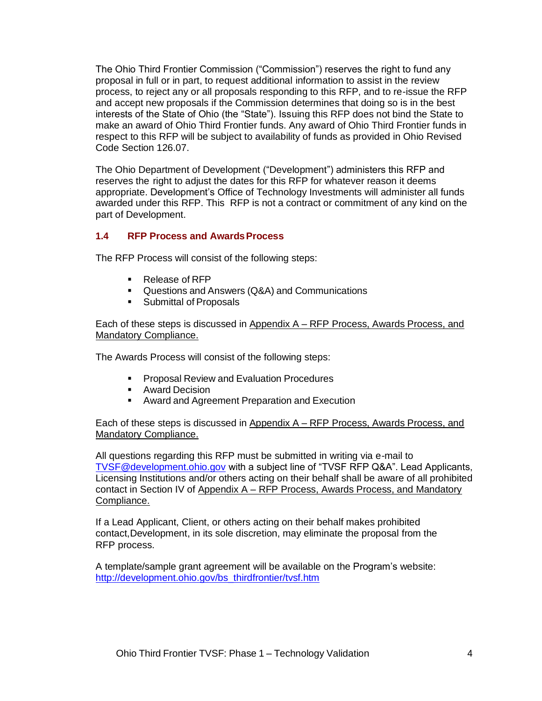The Ohio Third Frontier Commission ("Commission") reserves the right to fund any proposal in full or in part, to request additional information to assist in the review process, to reject any or all proposals responding to this RFP, and to re-issue the RFP and accept new proposals if the Commission determines that doing so is in the best interests of the State of Ohio (the "State"). Issuing this RFP does not bind the State to make an award of Ohio Third Frontier funds. Any award of Ohio Third Frontier funds in respect to this RFP will be subject to availability of funds as provided in Ohio Revised Code Section 126.07.

The Ohio Department of Development ("Development") administers this RFP and reserves the right to adjust the dates for this RFP for whatever reason it deems appropriate. Development's Office of Technology Investments will administer all funds awarded under this RFP. This RFP is not a contract or commitment of any kind on the part of Development.

## **1.4 RFP Process and AwardsProcess**

The RFP Process will consist of the following steps:

- Release of RFP
- Questions and Answers (Q&A) and Communications
- Submittal of Proposals

Each of these steps is discussed in Appendix A – RFP Process, Awards Process, and Mandatory Compliance.

The Awards Process will consist of the following steps:

- Proposal Review and Evaluation Procedures
- Award Decision
- Award and Agreement Preparation and Execution

Each of these steps is discussed in Appendix A - RFP Process, Awards Process, and Mandatory Compliance.

All questions regarding this RFP must be submitted in writing via e-mail to [TVSF@development.ohio.gov](mailto:TVSF@development.ohio.gov) with a subject line of "TVSF RFP Q&A". Lead Applicants, Licensing Institutions and/or others acting on their behalf shall be aware of all prohibited contact in Section IV of Appendix A – RFP Process, Awards Process, and Mandatory Compliance.

If a Lead Applicant, Client, or others acting on their behalf makes prohibited contact,Development, in its sole discretion, may eliminate the proposal from the RFP process.

A template/sample grant agreement will be available on the Program's website: [http://development.ohio.gov/bs\\_thirdfrontier/tvsf.htm](http://development.ohio.gov/bs_thirdfrontier/tvsf.htm)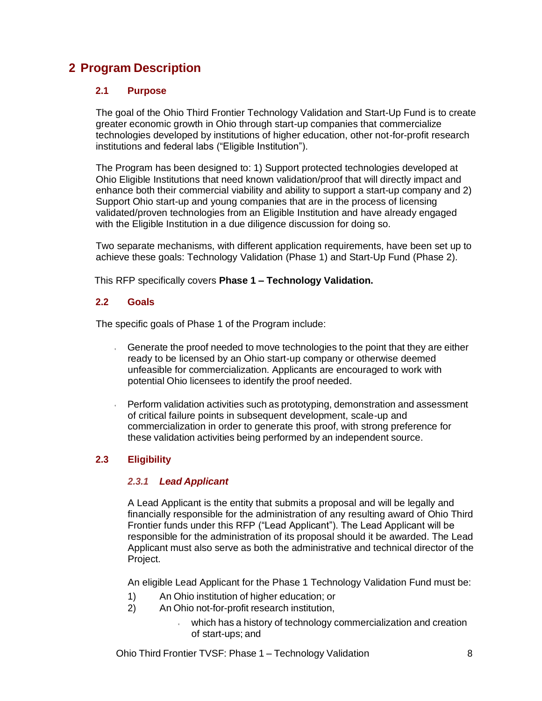# **2 Program Description**

## **2.1 Purpose**

The goal of the Ohio Third Frontier Technology Validation and Start-Up Fund is to create greater economic growth in Ohio through start-up companies that commercialize technologies developed by institutions of higher education, other not-for-profit research institutions and federal labs ("Eligible Institution").

The Program has been designed to: 1) Support protected technologies developed at Ohio Eligible Institutions that need known validation/proof that will directly impact and enhance both their commercial viability and ability to support a start-up company and 2) Support Ohio start-up and young companies that are in the process of licensing validated/proven technologies from an Eligible Institution and have already engaged with the Eligible Institution in a due diligence discussion for doing so.

Two separate mechanisms, with different application requirements, have been set up to achieve these goals: Technology Validation (Phase 1) and Start-Up Fund (Phase 2).

This RFP specifically covers **Phase 1 – Technology Validation.**

# **2.2 Goals**

The specific goals of Phase 1 of the Program include:

- Generate the proof needed to move technologies to the point that they are either ready to be licensed by an Ohio start-up company or otherwise deemed unfeasible for commercialization. Applicants are encouraged to work with potential Ohio licensees to identify the proof needed.
- Perform validation activities such as prototyping, demonstration and assessment of critical failure points in subsequent development, scale-up and commercialization in order to generate this proof, with strong preference for these validation activities being performed by an independent source.

# **2.3 Eligibility**

## *2.3.1 Lead Applicant*

A Lead Applicant is the entity that submits a proposal and will be legally and financially responsible for the administration of any resulting award of Ohio Third Frontier funds under this RFP ("Lead Applicant"). The Lead Applicant will be responsible for the administration of its proposal should it be awarded. The Lead Applicant must also serve as both the administrative and technical director of the Project.

An eligible Lead Applicant for the Phase 1 Technology Validation Fund must be:

- 1) An Ohio institution of higher education; or
- 2) An Ohio not-for-profit research institution,
	- which has a history of technology commercialization and creation of start-ups; and

Ohio Third Frontier TVSF: Phase 1 – Technology Validation 8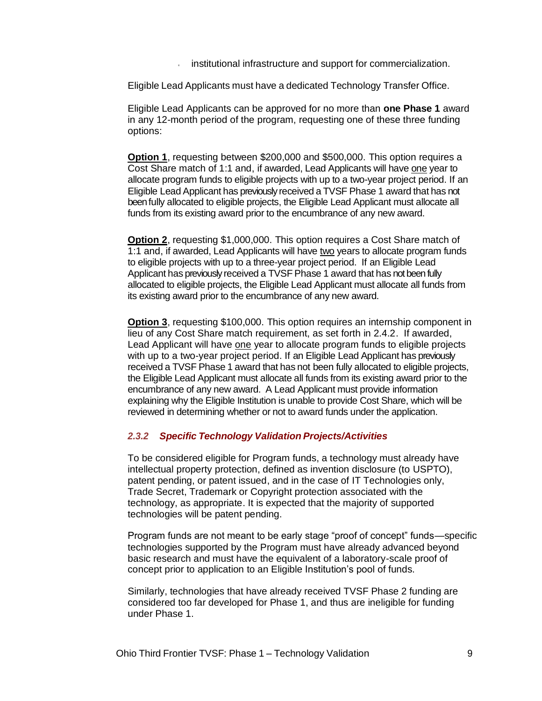institutional infrastructure and support for commercialization.

Eligible Lead Applicants must have a dedicated Technology Transfer Office.

Eligible Lead Applicants can be approved for no more than **one Phase 1** award in any 12-month period of the program, requesting one of these three funding options:

**Option 1**, requesting between \$200,000 and \$500,000. This option requires a Cost Share match of 1:1 and, if awarded, Lead Applicants will have one year to allocate program funds to eligible projects with up to a two-year project period. If an Eligible Lead Applicant has previously received a TVSF Phase 1 award that has not been fully allocated to eligible projects, the Eligible Lead Applicant must allocate all funds from its existing award prior to the encumbrance of any new award.

**Option 2**, requesting \$1,000,000. This option requires a Cost Share match of 1:1 and, if awarded, Lead Applicants will have two years to allocate program funds to eligible projects with up to a three-year project period. If an Eligible Lead Applicant has previously received a TVSF Phase 1 award that has not been fully allocated to eligible projects, the Eligible Lead Applicant must allocate all funds from its existing award prior to the encumbrance of any new award.

**Option 3**, requesting \$100,000. This option requires an internship component in lieu of any Cost Share match requirement, as set forth in 2.4.2. If awarded, Lead Applicant will have one year to allocate program funds to eligible projects with up to a two-year project period. If an Eligible Lead Applicant has previously received a TVSF Phase 1 award that has not been fully allocated to eligible projects, the Eligible Lead Applicant must allocate all funds from its existing award prior to the encumbrance of any new award. A Lead Applicant must provide information explaining why the Eligible Institution is unable to provide Cost Share, which will be reviewed in determining whether or not to award funds under the application.

### *2.3.2 Specific Technology Validation Projects/Activities*

To be considered eligible for Program funds, a technology must already have intellectual property protection, defined as invention disclosure (to USPTO), patent pending, or patent issued, and in the case of IT Technologies only, Trade Secret, Trademark or Copyright protection associated with the technology, as appropriate. It is expected that the majority of supported technologies will be patent pending.

Program funds are not meant to be early stage "proof of concept" funds—specific technologies supported by the Program must have already advanced beyond basic research and must have the equivalent of a laboratory-scale proof of concept prior to application to an Eligible Institution's pool of funds.

Similarly, technologies that have already received TVSF Phase 2 funding are considered too far developed for Phase 1, and thus are ineligible for funding under Phase 1.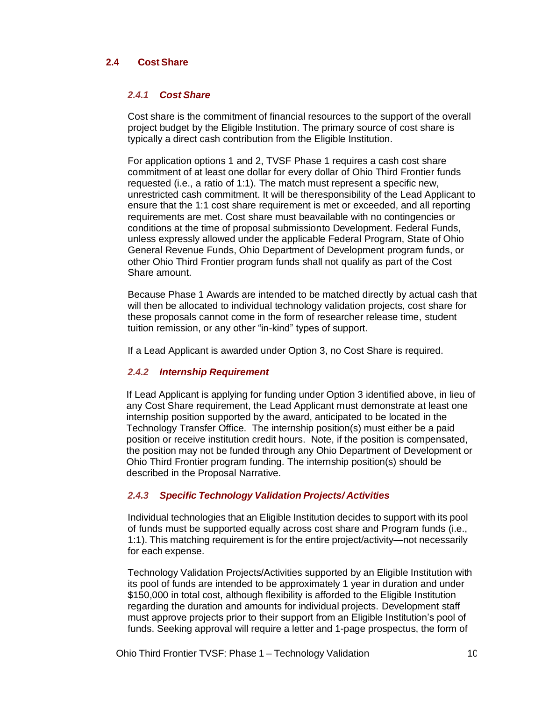### **2.4 Cost Share**

### *2.4.1 Cost Share*

Cost share is the commitment of financial resources to the support of the overall project budget by the Eligible Institution. The primary source of cost share is typically a direct cash contribution from the Eligible Institution.

For application options 1 and 2, TVSF Phase 1 requires a cash cost share commitment of at least one dollar for every dollar of Ohio Third Frontier funds requested (i.e., a ratio of 1:1). The match must represent a specific new, unrestricted cash commitment. It will be theresponsibility of the Lead Applicant to ensure that the 1:1 cost share requirement is met or exceeded, and all reporting requirements are met. Cost share must beavailable with no contingencies or conditions at the time of proposal submission to Development. Federal Funds, unless expressly allowed under the applicable Federal Program, State of Ohio General Revenue Funds, Ohio Department of Development program funds, or other Ohio Third Frontier program funds shall not qualify as part of the Cost Share amount.

Because Phase 1 Awards are intended to be matched directly by actual cash that will then be allocated to individual technology validation projects, cost share for these proposals cannot come in the form of researcher release time, student tuition remission, or any other "in-kind" types of support.

If a Lead Applicant is awarded under Option 3, no Cost Share is required.

## *2.4.2 Internship Requirement*

If Lead Applicant is applying for funding under Option 3 identified above, in lieu of any Cost Share requirement, the Lead Applicant must demonstrate at least one internship position supported by the award, anticipated to be located in the Technology Transfer Office. The internship position(s) must either be a paid position or receive institution credit hours. Note, if the position is compensated, the position may not be funded through any Ohio Department of Development or Ohio Third Frontier program funding. The internship position(s) should be described in the Proposal Narrative.

### *2.4.3 Specific Technology Validation Projects/ Activities*

Individual technologies that an Eligible Institution decides to support with its pool of funds must be supported equally across cost share and Program funds (i.e., 1:1). This matching requirement is for the entire project/activity—not necessarily for each expense.

Technology Validation Projects/Activities supported by an Eligible Institution with its pool of funds are intended to be approximately 1 year in duration and under \$150,000 in total cost, although flexibility is afforded to the Eligible Institution regarding the duration and amounts for individual projects. Development staff must approve projects prior to their support from an Eligible Institution's pool of funds. Seeking approval will require a letter and 1-page prospectus, the form of

Ohio Third Frontier TVSF: Phase 1 – Technology Validation 10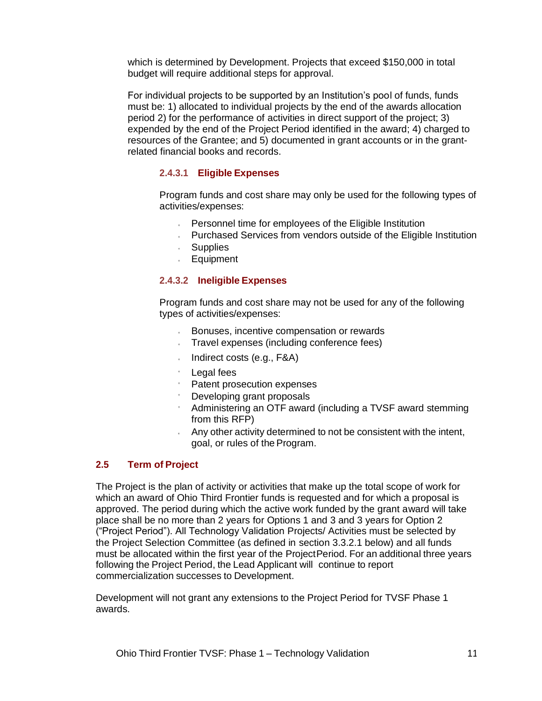which is determined by Development. Projects that exceed \$150,000 in total budget will require additional steps for approval.

For individual projects to be supported by an Institution's pool of funds, funds must be: 1) allocated to individual projects by the end of the awards allocation period 2) for the performance of activities in direct support of the project; 3) expended by the end of the Project Period identified in the award; 4) charged to resources of the Grantee; and 5) documented in grant accounts or in the grantrelated financial books and records.

## **2.4.3.1 Eligible Expenses**

Program funds and cost share may only be used for the following types of activities/expenses:

- Personnel time for employees of the Eligible Institution
- Purchased Services from vendors outside of the Eligible Institution
- Supplies
- **Equipment**

# **2.4.3.2 Ineligible Expenses**

Program funds and cost share may not be used for any of the following types of activities/expenses:

- Bonuses, incentive compensation or rewards
- Travel expenses (including conference fees)
- Indirect costs (e.g., F&A)
- Legal fees
- Patent prosecution expenses
- Developing grant proposals
- Administering an OTF award (including a TVSF award stemming from this RFP)
- Any other activity determined to not be consistent with the intent, goal, or rules of the Program.

# **2.5 Term of Project**

The Project is the plan of activity or activities that make up the total scope of work for which an award of Ohio Third Frontier funds is requested and for which a proposal is approved. The period during which the active work funded by the grant award will take place shall be no more than 2 years for Options 1 and 3 and 3 years for Option 2 ("Project Period"). All Technology Validation Projects/ Activities must be selected by the Project Selection Committee (as defined in section 3.3.2.1 below) and all funds must be allocated within the first year of the ProjectPeriod. For an additional three years following the Project Period, the Lead Applicant will continue to report commercialization successes to Development.

Development will not grant any extensions to the Project Period for TVSF Phase 1 awards.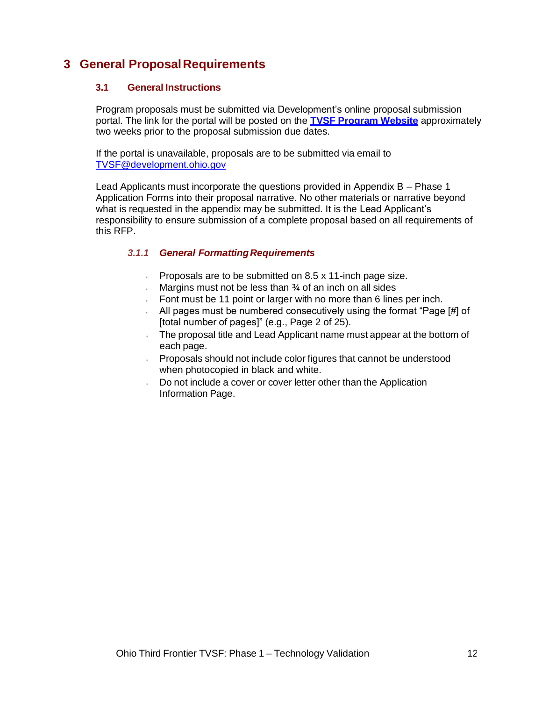# **3 General ProposalRequirements**

## **3.1 General Instructions**

Program proposals must be submitted via Development's online proposal submission portal. The link for the portal will be posted on the **TVSF Program Website** approximately two weeks prior to the proposal submission due dates.

If the portal is unavailable, proposals are to be submitted via email to [TVSF@development.ohio.gov](mailto:TVSF@development.ohio.gov)

Lead Applicants must incorporate the questions provided in Appendix B – Phase 1 Application Forms into their proposal narrative. No other materials or narrative beyond what is requested in the appendix may be submitted. It is the Lead Applicant's responsibility to ensure submission of a complete proposal based on all requirements of this RFP.

## *3.1.1 General FormattingRequirements*

- $\cdot$ Proposals are to be submitted on 8.5 x 11-inch page size.
- Margins must not be less than  $\frac{3}{4}$  of an inch on all sides
- Font must be 11 point or larger with no more than 6 lines per inch.
- All pages must be numbered consecutively using the format "Page [#] of [total number of pages]" (e.g., Page 2 of 25).
- The proposal title and Lead Applicant name must appear at the bottom of each page.
- Proposals should not include color figures that cannot be understood when photocopied in black and white.
- Do not include a cover or cover letter other than the Application Information Page.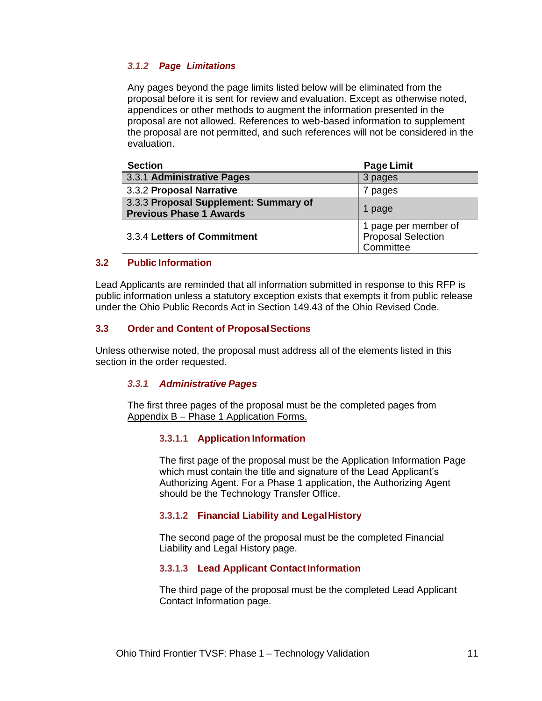### *3.1.2 Page Limitations*

Any pages beyond the page limits listed below will be eliminated from the proposal before it is sent for review and evaluation. Except as otherwise noted, appendices or other methods to augment the information presented in the proposal are not allowed. References to web-based information to supplement the proposal are not permitted, and such references will not be considered in the evaluation.

| <b>Section</b>                                                          | <b>Page Limit</b>                                              |
|-------------------------------------------------------------------------|----------------------------------------------------------------|
| 3.3.1 Administrative Pages                                              | 3 pages                                                        |
| 3.3.2 Proposal Narrative                                                | 7 pages                                                        |
| 3.3.3 Proposal Supplement: Summary of<br><b>Previous Phase 1 Awards</b> | 1 page                                                         |
| 3.3.4 Letters of Commitment                                             | 1 page per member of<br><b>Proposal Selection</b><br>Committee |

### **3.2 Public Information**

Lead Applicants are reminded that all information submitted in response to this RFP is public information unless a statutory exception exists that exempts it from public release under the Ohio Public Records Act in Section 149.43 of the Ohio Revised Code.

## **3.3 Order and Content of ProposalSections**

Unless otherwise noted, the proposal must address all of the elements listed in this section in the order requested.

### *3.3.1 Administrative Pages*

The first three pages of the proposal must be the completed pages from Appendix B – Phase 1 Application Forms.

### **3.3.1.1 Application Information**

The first page of the proposal must be the Application Information Page which must contain the title and signature of the Lead Applicant's Authorizing Agent. For a Phase 1 application, the Authorizing Agent should be the Technology Transfer Office.

### **3.3.1.2 Financial Liability and LegalHistory**

The second page of the proposal must be the completed Financial Liability and Legal History page.

### **3.3.1.3 Lead Applicant ContactInformation**

The third page of the proposal must be the completed Lead Applicant Contact Information page.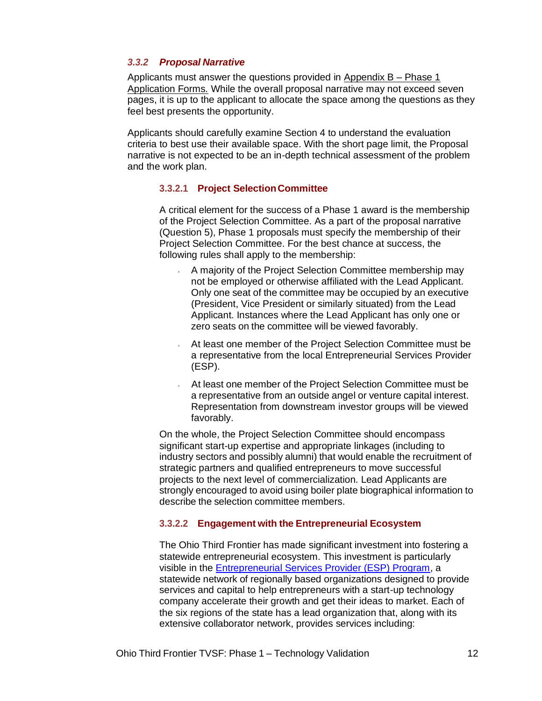### *3.3.2 Proposal Narrative*

Applicants must answer the questions provided in Appendix  $B - Phase 1$ Application Forms. While the overall proposal narrative may not exceed seven pages, it is up to the applicant to allocate the space among the questions as they feel best presents the opportunity.

Applicants should carefully examine Section 4 to understand the evaluation criteria to best use their available space. With the short page limit, the Proposal narrative is not expected to be an in-depth technical assessment of the problem and the work plan.

### **3.3.2.1 Project SelectionCommittee**

A critical element for the success of a Phase 1 award is the membership of the Project Selection Committee. As a part of the proposal narrative (Question 5), Phase 1 proposals must specify the membership of their Project Selection Committee. For the best chance at success, the following rules shall apply to the membership:

- A majority of the Project Selection Committee membership may not be employed or otherwise affiliated with the Lead Applicant. Only one seat of the committee may be occupied by an executive (President, Vice President or similarly situated) from the Lead Applicant. Instances where the Lead Applicant has only one or zero seats on the committee will be viewed favorably.
- At least one member of the Project Selection Committee must be a representative from the local Entrepreneurial Services Provider (ESP).
- At least one member of the Project Selection Committee must be a representative from an outside angel or venture capital interest. Representation from downstream investor groups will be viewed favorably.

On the whole, the Project Selection Committee should encompass significant start-up expertise and appropriate linkages (including to industry sectors and possibly alumni) that would enable the recruitment of strategic partners and qualified entrepreneurs to move successful projects to the next level of commercialization. Lead Applicants are strongly encouraged to avoid using boiler plate biographical information to describe the selection committee members.

### **3.3.2.2 Engagement with the Entrepreneurial Ecosystem**

The Ohio Third Frontier has made significant investment into fostering a statewide entrepreneurial ecosystem. This investment is particularly visible in the Entrepreneurial Services Provider (ESP) Program, a statewide network of regionally based organizations designed to provide services and capital to help entrepreneurs with a start-up technology company accelerate their growth and get their ideas to market. Each of the six regions of the state has a lead organization that, along with its extensive collaborator network, provides services including: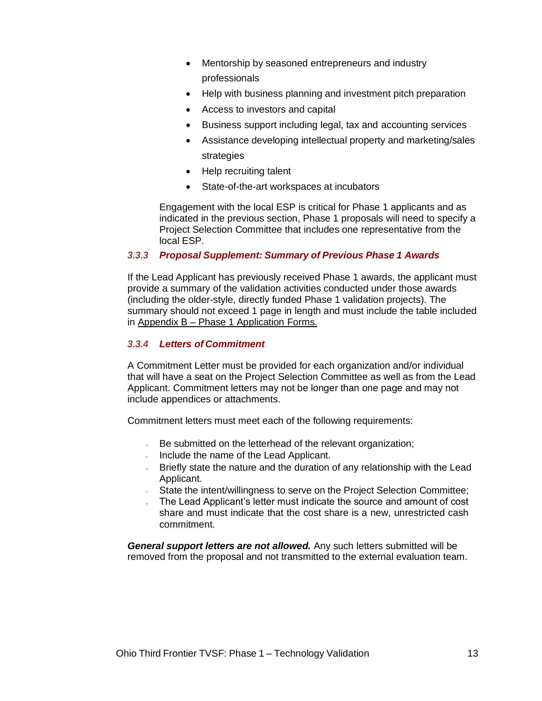- Mentorship by seasoned entrepreneurs and industry professionals
- Help with business planning and investment pitch preparation
- Access to investors and capital
- Business support including legal, tax and accounting services
- Assistance developing intellectual property and marketing/sales strategies
- Help recruiting talent
- State-of-the-art workspaces at incubators

Engagement with the local ESP is critical for Phase 1 applicants and as indicated in the previous section, Phase 1 proposals will need to specify a Project Selection Committee that includes one representative from the local ESP.

# *3.3.3 Proposal Supplement: Summary of Previous Phase 1 Awards*

If the Lead Applicant has previously received Phase 1 awards, the applicant must provide a summary of the validation activities conducted under those awards (including the older-style, directly funded Phase 1 validation projects). The summary should not exceed 1 page in length and must include the table included in Appendix B – Phase 1 Application Forms.

## *3.3.4 Letters of Commitment*

A Commitment Letter must be provided for each organization and/or individual that will have a seat on the Project Selection Committee as well as from the Lead Applicant. Commitment letters may not be longer than one page and may not include appendices or attachments.

Commitment letters must meet each of the following requirements:

- $\cdot$ Be submitted on the letterhead of the relevant organization;
- Include the name of the Lead Applicant.
- Briefly state the nature and the duration of any relationship with the Lead Applicant.
- State the intent/willingness to serve on the Project Selection Committee;
- The Lead Applicant's letter must indicate the source and amount of cost share and must indicate that the cost share is a new, unrestricted cash commitment.

*General support letters are not allowed.* Any such letters submitted will be removed from the proposal and not transmitted to the external evaluation team.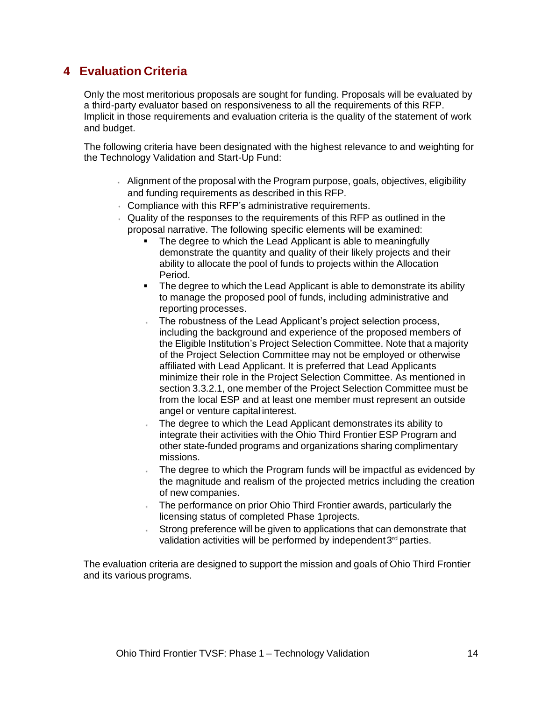# **4 Evaluation Criteria**

Only the most meritorious proposals are sought for funding. Proposals will be evaluated by a third-party evaluator based on responsiveness to all the requirements of this RFP. Implicit in those requirements and evaluation criteria is the quality of the statement of work and budget.

The following criteria have been designated with the highest relevance to and weighting for the Technology Validation and Start-Up Fund:

- Alignment of the proposal with the Program purpose, goals, objectives, eligibility and funding requirements as described in this RFP.
- Compliance with this RFP's administrative requirements.
- Quality of the responses to the requirements of this RFP as outlined in the proposal narrative. The following specific elements will be examined:
	- The degree to which the Lead Applicant is able to meaningfully demonstrate the quantity and quality of their likely projects and their ability to allocate the pool of funds to projects within the Allocation Period.
	- The degree to which the Lead Applicant is able to demonstrate its ability to manage the proposed pool of funds, including administrative and reporting processes.
	- The robustness of the Lead Applicant's project selection process, including the background and experience of the proposed members of the Eligible Institution's Project Selection Committee. Note that a majority of the Project Selection Committee may not be employed or otherwise affiliated with Lead Applicant. It is preferred that Lead Applicants minimize their role in the Project Selection Committee. As mentioned in section 3.3.2.1, one member of the Project Selection Committee must be from the local ESP and at least one member must represent an outside angel or venture capital interest.
	- The degree to which the Lead Applicant demonstrates its ability to integrate their activities with the Ohio Third Frontier ESP Program and other state-funded programs and organizations sharing complimentary missions.
	- The degree to which the Program funds will be impactful as evidenced by  $\ddot{\phantom{0}}$ the magnitude and realism of the projected metrics including the creation of new companies.
	- The performance on prior Ohio Third Frontier awards, particularly the licensing status of completed Phase 1projects.
	- Strong preference will be given to applications that can demonstrate that validation activities will be performed by independent3<sup>rd</sup> parties.

The evaluation criteria are designed to support the mission and goals of Ohio Third Frontier and its various programs.